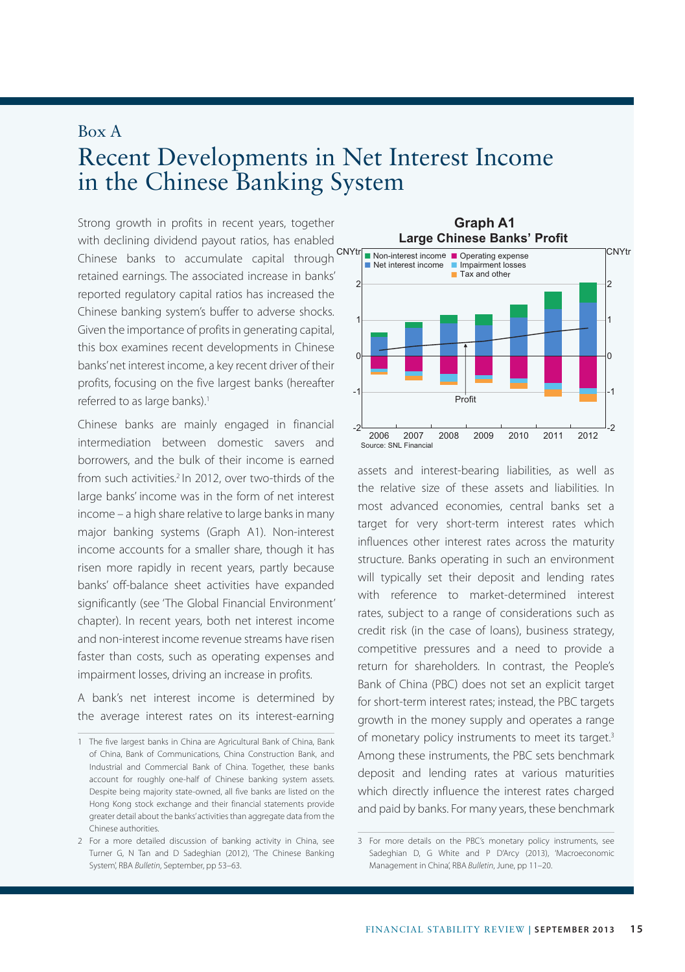## Box A

## Recent Developments in Net Interest Income in the Chinese Banking System

Strong growth in profits in recent years, together with declining dividend payout ratios, has enabled Chinese banks to accumulate capital through CNYtr<br> **Experiment income CNYtr** Department legacy contract income income incorporation of the contract legacy contract retained earnings. The associated increase in banks' reported regulatory capital ratios has increased the Chinese banking system's buffer to adverse shocks. Given the importance of profits in generating capital, this box examines recent developments in Chinese banks' net interest income, a key recent driver of their profits, focusing on the five largest banks (hereafter referred to as large banks).<sup>1</sup>

Chinese banks are mainly engaged in financial intermediation between domestic savers and borrowers, and the bulk of their income is earned from such activities.<sup>2</sup> In 2012, over two-thirds of the large banks' income was in the form of net interest income – a high share relative to large banks in many major banking systems (Graph A1). Non-interest income accounts for a smaller share, though it has risen more rapidly in recent years, partly because banks' off-balance sheet activities have expanded significantly (see 'The Global Financial Environment' chapter). In recent years, both net interest income and non-interest income revenue streams have risen faster than costs, such as operating expenses and impairment losses, driving an increase in profits.

A bank's net interest income is determined by the average interest rates on its interest-earning





assets and interest-bearing liabilities, as well as the relative size of these assets and liabilities. In most advanced economies, central banks set a target for very short-term interest rates which influences other interest rates across the maturity structure. Banks operating in such an environment will typically set their deposit and lending rates with reference to market-determined interest rates, subject to a range of considerations such as credit risk (in the case of loans), business strategy, competitive pressures and a need to provide a return for shareholders. In contrast, the People's Bank of China (PBC) does not set an explicit target for short-term interest rates; instead, the PBC targets growth in the money supply and operates a range of monetary policy instruments to meet its target.<sup>3</sup> Among these instruments, the PBC sets benchmark deposit and lending rates at various maturities which directly influence the interest rates charged and paid by banks. For many years, these benchmark

<sup>1</sup> The five largest banks in China are Agricultural Bank of China, Bank of China, Bank of Communications, China Construction Bank, and Industrial and Commercial Bank of China. Together, these banks account for roughly one-half of Chinese banking system assets. Despite being majority state-owned, all five banks are listed on the Hong Kong stock exchange and their financial statements provide greater detail about the banks' activities than aggregate data from the Chinese authorities.

<sup>2</sup> For a more detailed discussion of banking activity in China, see Turner G, N Tan and D Sadeghian (2012), 'The Chinese Banking System', RBA *Bulletin*, September, pp 53–63.

<sup>3</sup> For more details on the PBC's monetary policy instruments, see Sadeghian D, G White and P D'Arcy (2013), 'Macroeconomic Management in China', RBA *Bulletin*, June, pp 11–20.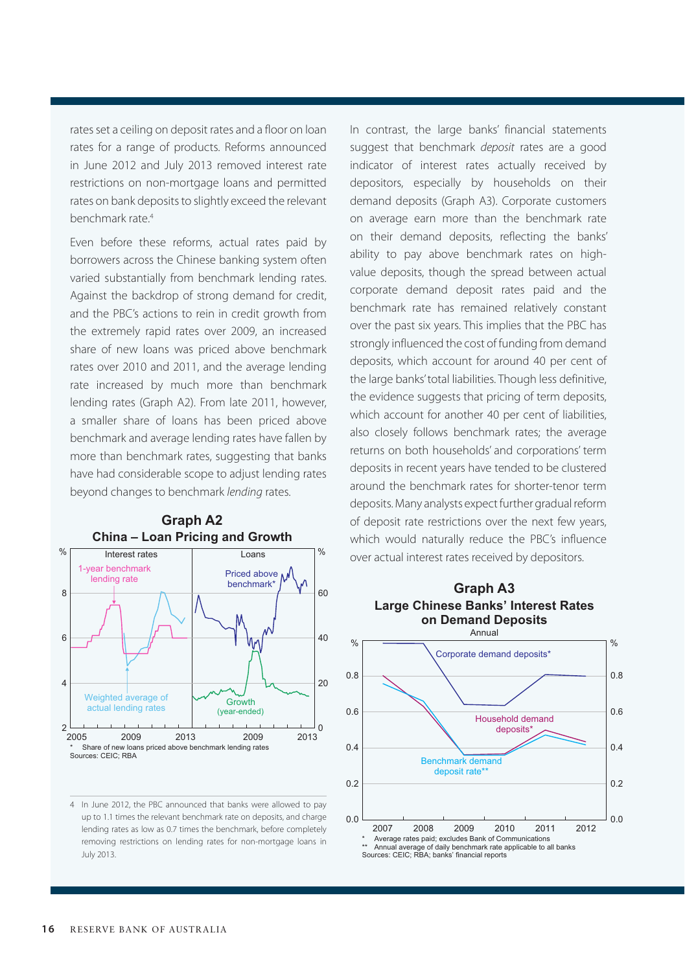rates set a ceiling on deposit rates and a floor on loan rates for a range of products. Reforms announced in June 2012 and July 2013 removed interest rate restrictions on non-mortgage loans and permitted rates on bank deposits to slightly exceed the relevant benchmark rate.<sup>4</sup>

Even before these reforms, actual rates paid by borrowers across the Chinese banking system often varied substantially from benchmark lending rates. Against the backdrop of strong demand for credit, and the PBC's actions to rein in credit growth from the extremely rapid rates over 2009, an increased share of new loans was priced above benchmark rates over 2010 and 2011, and the average lending rate increased by much more than benchmark lending rates (Graph A2). From late 2011, however, a smaller share of loans has been priced above benchmark and average lending rates have fallen by more than benchmark rates, suggesting that banks have had considerable scope to adjust lending rates beyond changes to benchmark *lending* rates.



**Graph A2**

4 In June 2012, the PBC announced that banks were allowed to pay up to 1.1 times the relevant benchmark rate on deposits, and charge lending rates as low as 0.7 times the benchmark, before completely removing restrictions on lending rates for non-mortgage loans in July 2013.

In contrast, the large banks' financial statements suggest that benchmark *deposit* rates are a good indicator of interest rates actually received by depositors, especially by households on their demand deposits (Graph A3). Corporate customers on average earn more than the benchmark rate on their demand deposits, reflecting the banks' ability to pay above benchmark rates on highvalue deposits, though the spread between actual corporate demand deposit rates paid and the benchmark rate has remained relatively constant over the past six years. This implies that the PBC has strongly influenced the cost of funding from demand deposits, which account for around 40 per cent of the large banks' total liabilities. Though less definitive, the evidence suggests that pricing of term deposits, which account for another 40 per cent of liabilities, also closely follows benchmark rates; the average returns on both households' and corporations' term deposits in recent years have tended to be clustered around the benchmark rates for shorter-tenor term deposits. Many analysts expect further gradual reform of deposit rate restrictions over the next few years, which would naturally reduce the PBC's influence over actual interest rates received by depositors.